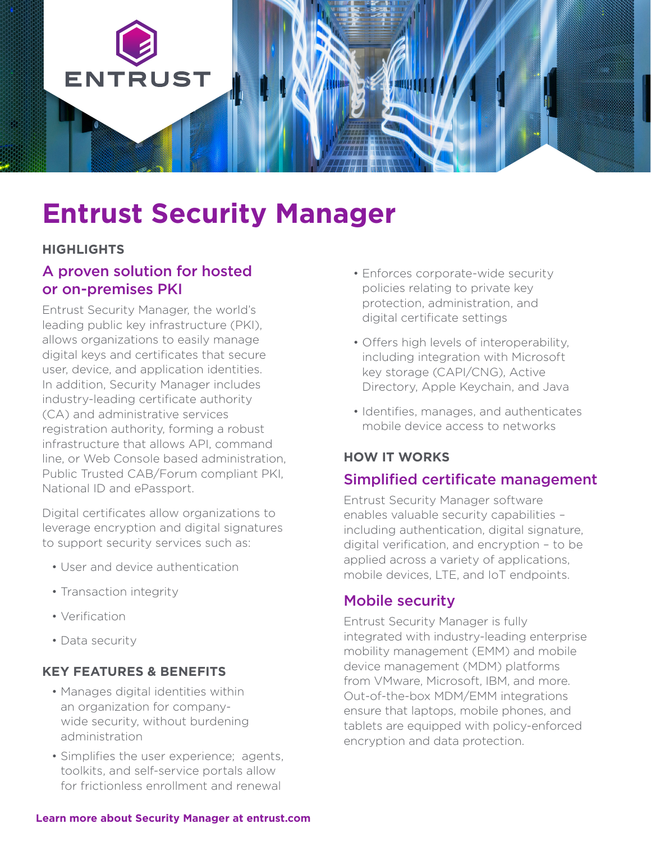

# **Entrust Security Manager**

### **HIGHLIGHTS**

# A proven solution for hosted or on-premises PKI

Entrust Security Manager, the world's leading public key infrastructure (PKI), allows organizations to easily manage digital keys and certificates that secure user, device, and application identities. In addition, Security Manager includes industry-leading certificate authority (CA) and administrative services registration authority, forming a robust infrastructure that allows API, command line, or Web Console based administration, Public Trusted CAB/Forum compliant PKI, National ID and ePassport.

Digital certificates allow organizations to leverage encryption and digital signatures to support security services such as:

- User and device authentication
- Transaction integrity
- Verification
- Data security

## **KEY FEATURES & BENEFITS**

- Manages digital identities within an organization for companywide security, without burdening administration
- Simplifies the user experience; agents, toolkits, and self-service portals allow for frictionless enrollment and renewal
- Enforces corporate-wide security policies relating to private key protection, administration, and digital certificate settings
- Offers high levels of interoperability, including integration with Microsoft key storage (CAPI/CNG), Active Directory, Apple Keychain, and Java
- Identifies, manages, and authenticates mobile device access to networks

## **HOW IT WORKS**

## Simplified certificate management

Entrust Security Manager software enables valuable security capabilities – including authentication, digital signature, digital verification, and encryption – to be applied across a variety of applications, mobile devices, LTE, and IoT endpoints.

# Mobile security

Entrust Security Manager is fully integrated with industry-leading enterprise mobility management (EMM) and mobile device management (MDM) platforms from VMware, Microsoft, IBM, and more. Out-of-the-box MDM/EMM integrations ensure that laptops, mobile phones, and tablets are equipped with policy-enforced encryption and data protection.

#### **[Learn more about Security Manager at entrust.com](https://www.entrust.com/digital-security/certificate-solutions/products/pki/security-manager)**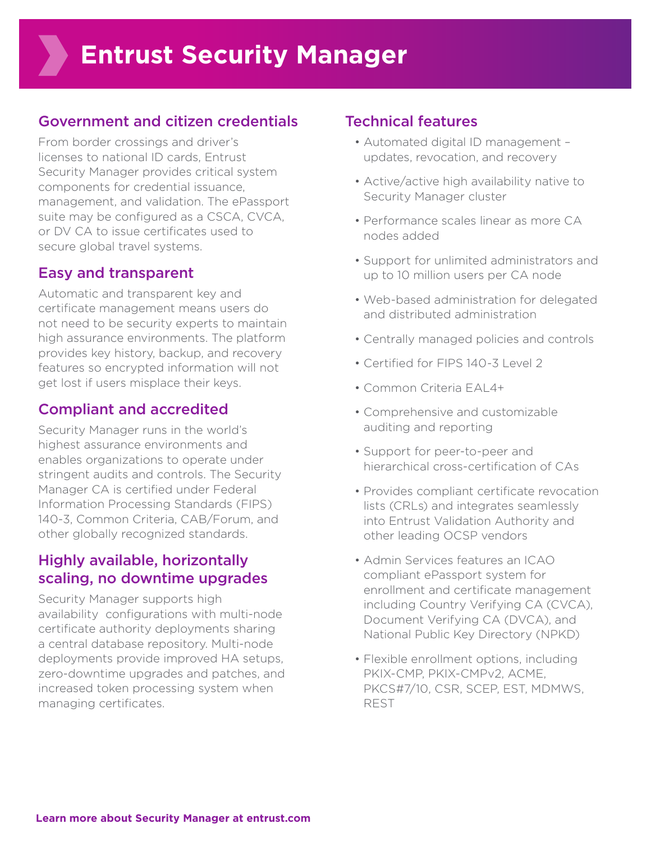# Government and citizen credentials

From border crossings and driver's licenses to national ID cards, Entrust Security Manager provides critical system components for credential issuance, management, and validation. The ePassport suite may be configured as a CSCA, CVCA, or DV CA to issue certificates used to secure global travel systems.

# Easy and transparent

Automatic and transparent key and certificate management means users do not need to be security experts to maintain high assurance environments. The platform provides key history, backup, and recovery features so encrypted information will not get lost if users misplace their keys.

# Compliant and accredited

Security Manager runs in the world's highest assurance environments and enables organizations to operate under stringent audits and controls. The Security Manager CA is certified under Federal Information Processing Standards (FIPS) 140-3, Common Criteria, CAB/Forum, and other globally recognized standards.

# Highly available, horizontally scaling, no downtime upgrades

Security Manager supports high availability configurations with multi-node certificate authority deployments sharing a central database repository. Multi-node deployments provide improved HA setups, zero-downtime upgrades and patches, and increased token processing system when managing certificates.

# Technical features

- Automated digital ID management updates, revocation, and recovery
- Active/active high availability native to Security Manager cluster
- Performance scales linear as more CA nodes added
- Support for unlimited administrators and up to 10 million users per CA node
- Web-based administration for delegated and distributed administration
- Centrally managed policies and controls
- Certified for FIPS 140-3 Level 2
- Common Criteria EAL4+
- Comprehensive and customizable auditing and reporting
- Support for peer-to-peer and hierarchical cross-certification of CAs
- Provides compliant certificate revocation lists (CRLs) and integrates seamlessly into Entrust Validation Authority and other leading OCSP vendors
- Admin Services features an ICAO compliant ePassport system for enrollment and certificate management including Country Verifying CA (CVCA), Document Verifying CA (DVCA), and National Public Key Directory (NPKD)
- Flexible enrollment options, including PKIX-CMP, PKIX-CMPv2, ACME, PKCS#7/10, CSR, SCEP, EST, MDMWS, REST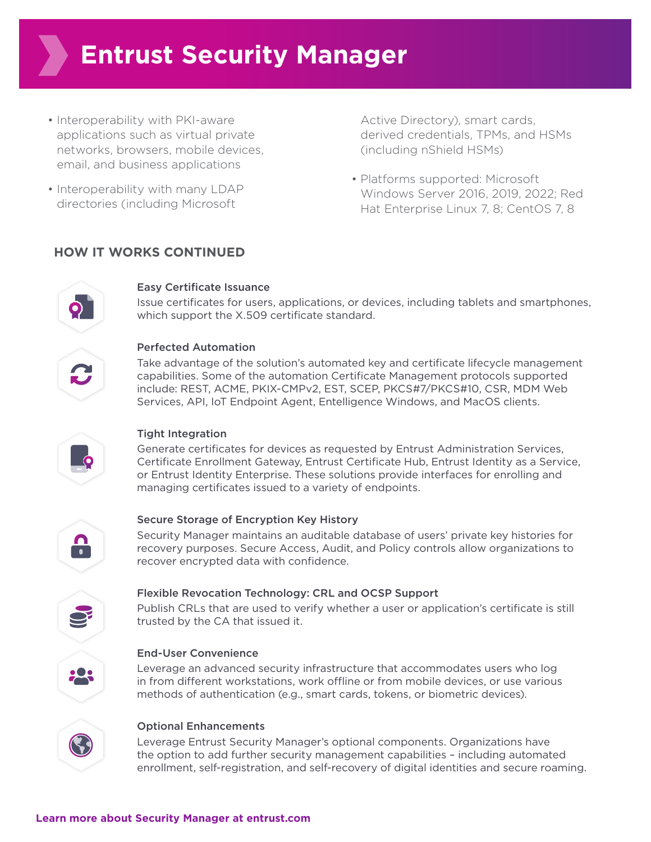# **Entrust Security Manager**

- Interoperability with PKI-aware applications such as virtual private networks, browsers, mobile devices, email, and business applications
- Interoperability with many LDAP directories (including Microsoft

Active Directory), smart cards, derived credentials, TPMs, and HSMs (including nShield HSMs)

• Platforms supported: Microsoft Windows Server 2016, 2019, 2022; Red Hat Enterprise Linux 7, 8; CentOS 7, 8

### **HOW IT WORKS CONTINUED**



#### Easy Certificate Issuance

Issue certificates for users, applications, or devices, including tablets and smartphones, which support the X.509 certificate standard.



#### Perfected Automation

Take advantage of the solution's automated key and certificate lifecycle management capabilities. Some of the automation Certificate Management protocols supported include: REST, ACME, PKIX-CMPv2, EST, SCEP, PKCS#7/PKCS#10, CSR, MDM Web Services, API, IoT Endpoint Agent, Entelligence Windows, and MacOS clients.



#### Tight Integration

Generate certificates for devices as requested by Entrust Administration Services, Certificate Enrollment Gateway, Entrust Certificate Hub, Entrust Identity as a Service, or Entrust Identity Enterprise. These solutions provide interfaces for enrolling and managing certificates issued to a variety of endpoints.



#### Secure Storage of Encryption Key History

Security Manager maintains an auditable database of users' private key histories for recovery purposes. Secure Access, Audit, and Policy controls allow organizations to recover encrypted data with confidence.



#### Flexible Revocation Technology: CRL and OCSP Support

Publish CRLs that are used to verify whether a user or application's certificate is still trusted by the CA that issued it.

#### End-User Convenience

Leverage an advanced security infrastructure that accommodates users who log in from different workstations, work offline or from mobile devices, or use various methods of authentication (e.g., smart cards, tokens, or biometric devices).



#### Optional Enhancements

Leverage Entrust Security Manager's optional components. Organizations have the option to add further security management capabilities – including automated enrollment, self-registration, and self-recovery of digital identities and secure roaming.